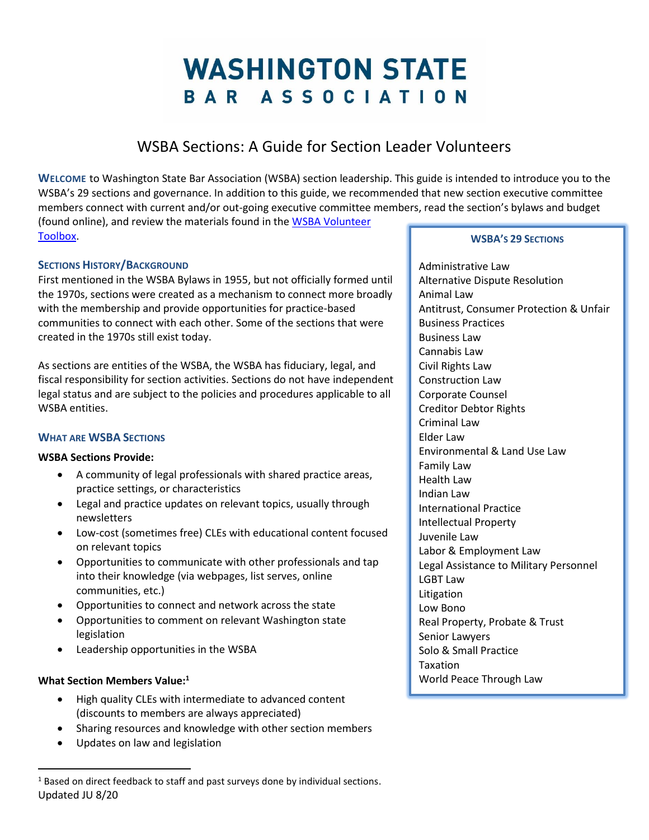# **WASHINGTON STATE** BAR ASSOCIATION

# WSBA Sections: A Guide for Section Leader Volunteers

**WELCOME** to Washington State Bar Association (WSBA) section leadership. This guide is intended to introduce you to the WSBA's 29 sections and governance. In addition to this guide, we recommended that new section executive committee members connect with current and/or out-going executive committee members, read the section's bylaws and budget (found online), and review the materials found in th[e WSBA Volunteer](https://www.wsba.org/connect-serve/volunteer-opportunities/Toolbox)  [Toolbox.](https://www.wsba.org/connect-serve/volunteer-opportunities/Toolbox)

## **SECTIONS HISTORY/BACKGROUND**

First mentioned in the WSBA Bylaws in 1955, but not officially formed until the 1970s, sections were created as a mechanism to connect more broadly with the membership and provide opportunities for practice-based communities to connect with each other. Some of the sections that were created in the 1970s still exist today.

As sections are entities of the WSBA, the WSBA has fiduciary, legal, and fiscal responsibility for section activities. Sections do not have independent legal status and are subject to the policies and procedures applicable to all WSBA entities.

### **WHAT ARE WSBA SECTIONS**

### **WSBA Sections Provide:**

- A community of legal professionals with shared practice areas, practice settings, or characteristics
- Legal and practice updates on relevant topics, usually through newsletters
- Low-cost (sometimes free) CLEs with educational content focused on relevant topics
- Opportunities to communicate with other professionals and tap into their knowledge (via webpages, list serves, online communities, etc.)
- Opportunities to connect and network across the state
- Opportunities to comment on relevant Washington state legislation
- Leadership opportunities in the WSBA

### **What Section Members Value:<sup>1</sup>**

 $\overline{a}$ 

- High quality CLEs with intermediate to advanced content (discounts to members are always appreciated)
- Sharing resources and knowledge with other section members
- Updates on law and legislation

#### **WSBA'S 29 SECTIONS**

Administrative Law Alternative Dispute Resolution Animal Law Antitrust, Consumer Protection & Unfair Business Practices Business Law Cannabis Law Civil Rights Law Construction Law Corporate Counsel Creditor Debtor Rights Criminal Law Elder Law Environmental & Land Use Law Family Law Health Law Indian Law International Practice Intellectual Property Juvenile Law Labor & Employment Law Legal Assistance to Military Personnel LGBT Law **Litigation** Low Bono Real Property, Probate & Trust Senior Lawyers Solo & Small Practice Taxation World Peace Through Law

Updated JU 8/20  $1$  Based on direct feedback to staff and past surveys done by individual sections.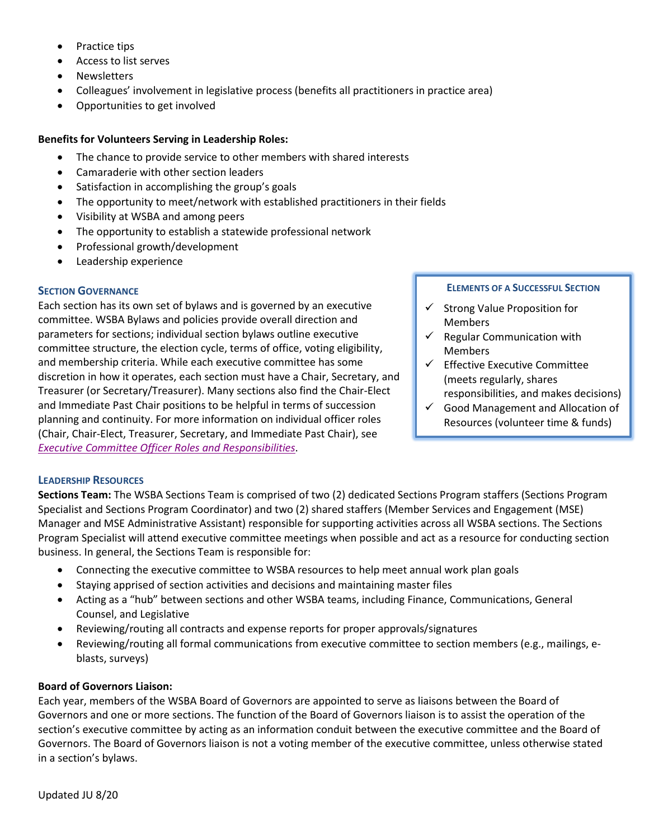- Practice tips
- Access to list serves
- Newsletters
- Colleagues' involvement in legislative process (benefits all practitioners in practice area)
- Opportunities to get involved

#### **Benefits for Volunteers Serving in Leadership Roles:**

- The chance to provide service to other members with shared interests
- Camaraderie with other section leaders
- Satisfaction in accomplishing the group's goals
- The opportunity to meet/network with established practitioners in their fields
- Visibility at WSBA and among peers
- The opportunity to establish a statewide professional network
- Professional growth/development
- Leadership experience

#### **SECTION GOVERNANCE**

Each section has its own set of bylaws and is governed by an executive committee. WSBA Bylaws and policies provide overall direction and parameters for sections; individual section bylaws outline executive committee structure, the election cycle, terms of office, voting eligibility, and membership criteria. While each executive committee has some discretion in how it operates, each section must have a Chair, Secretary, and Treasurer (or Secretary/Treasurer). Many sections also find the Chair-Elect and Immediate Past Chair positions to be helpful in terms of succession planning and continuity. For more information on individual officer roles (Chair, Chair-Elect, Treasurer, Secretary, and Immediate Past Chair), see *Executive [Committee Officer Roles and Responsibilities](https://wsbacms.wsba.org/docs/default-source/legal-community/volunteer/volunteer-toolbox/section-executive-committee-roles-responsibilities_fy21.pdf?sfvrsn=de2008f1_0)*.

#### **ELEMENTS OF A SUCCESSFUL SECTION**

- $\checkmark$  Strong Value Proposition for Members
- $\checkmark$  Regular Communication with Members
- $\checkmark$  Effective Executive Committee (meets regularly, shares responsibilities, and makes decisions)
- $\checkmark$  Good Management and Allocation of Resources (volunteer time & funds)

### **LEADERSHIP RESOURCES**

**Sections Team:** The WSBA Sections Team is comprised of two (2) dedicated Sections Program staffers (Sections Program Specialist and Sections Program Coordinator) and two (2) shared staffers (Member Services and Engagement (MSE) Manager and MSE Administrative Assistant) responsible for supporting activities across all WSBA sections. The Sections Program Specialist will attend executive committee meetings when possible and act as a resource for conducting section business. In general, the Sections Team is responsible for:

- Connecting the executive committee to WSBA resources to help meet annual work plan goals
- Staying apprised of section activities and decisions and maintaining master files
- Acting as a "hub" between sections and other WSBA teams, including Finance, Communications, General Counsel, and Legislative
- Reviewing/routing all contracts and expense reports for proper approvals/signatures
- Reviewing/routing all formal communications from executive committee to section members (e.g., mailings, eblasts, surveys)

#### **Board of Governors Liaison:**

Each year, members of the WSBA Board of Governors are appointed to serve as liaisons between the Board of Governors and one or more sections. The function of the Board of Governors liaison is to assist the operation of the section's executive committee by acting as an information conduit between the executive committee and the Board of Governors. The Board of Governors liaison is not a voting member of the executive committee, unless otherwise stated in a section's bylaws.